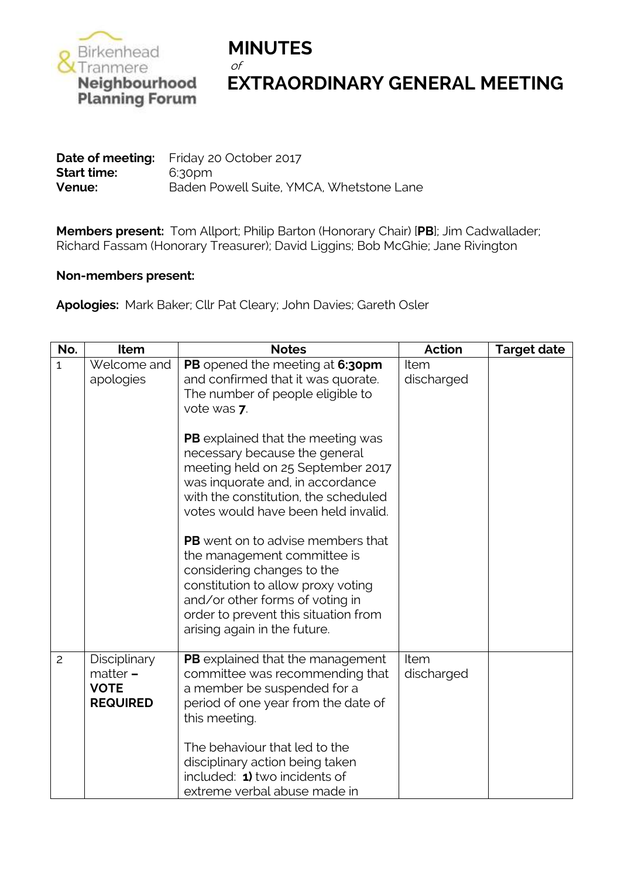

## **Neighbourhood EXTRAORDINARY GENERAL MEETING**<br>Planning Forum

**Date of meeting:** Friday 20 October 2017 **Start time:** 6:30pm **Venue:** Baden Powell Suite, YMCA, Whetstone Lane

**Members present:** Tom Allport; Philip Barton (Honorary Chair) [**PB**]; Jim Cadwallader; Richard Fassam (Honorary Treasurer); David Liggins; Bob McGhie; Jane Rivington

## **Non-members present:**

**Apologies:** Mark Baker; Cllr Pat Cleary; John Davies; Gareth Osler

| No.            | Item                                                         | <b>Notes</b>                                                                                                                                                                                                                                           | Action             | <b>Target date</b> |
|----------------|--------------------------------------------------------------|--------------------------------------------------------------------------------------------------------------------------------------------------------------------------------------------------------------------------------------------------------|--------------------|--------------------|
| $\overline{1}$ | Welcome and<br>apologies                                     | PB opened the meeting at 6:30pm<br>and confirmed that it was quorate.<br>The number of people eligible to<br>vote was 7.                                                                                                                               | Item<br>discharged |                    |
|                |                                                              | PB explained that the meeting was<br>necessary because the general<br>meeting held on 25 September 2017<br>was inquorate and, in accordance<br>with the constitution, the scheduled<br>votes would have been held invalid.                             |                    |                    |
|                |                                                              | <b>PB</b> went on to advise members that<br>the management committee is<br>considering changes to the<br>constitution to allow proxy voting<br>and/or other forms of voting in<br>order to prevent this situation from<br>arising again in the future. |                    |                    |
| $\mathbf{2}$   | Disciplinary<br>$matter -$<br><b>VOTE</b><br><b>REQUIRED</b> | PB explained that the management<br>committee was recommending that<br>a member be suspended for a<br>period of one year from the date of<br>this meeting.                                                                                             | Item<br>discharged |                    |
|                |                                                              | The behaviour that led to the<br>disciplinary action being taken<br>included: 1) two incidents of<br>extreme verbal abuse made in                                                                                                                      |                    |                    |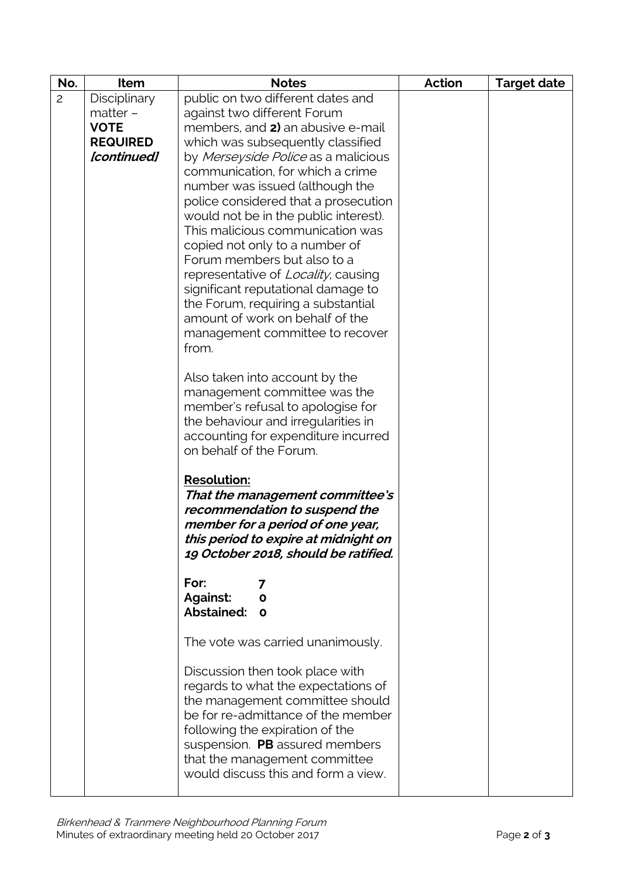| No.            | Item            | <b>Notes</b>                                                           | <b>Action</b> | <b>Target date</b> |
|----------------|-----------------|------------------------------------------------------------------------|---------------|--------------------|
| $\overline{c}$ | Disciplinary    | public on two different dates and                                      |               |                    |
|                | matter -        | against two different Forum                                            |               |                    |
|                | <b>VOTE</b>     | members, and 2) an abusive e-mail                                      |               |                    |
|                | <b>REQUIRED</b> | which was subsequently classified                                      |               |                    |
|                | [continued]     | by Merseyside Police as a malicious                                    |               |                    |
|                |                 | communication, for which a crime                                       |               |                    |
|                |                 | number was issued (although the                                        |               |                    |
|                |                 | police considered that a prosecution                                   |               |                    |
|                |                 | would not be in the public interest).                                  |               |                    |
|                |                 | This malicious communication was                                       |               |                    |
|                |                 | copied not only to a number of                                         |               |                    |
|                |                 | Forum members but also to a                                            |               |                    |
|                |                 | representative of Locality, causing                                    |               |                    |
|                |                 | significant reputational damage to                                     |               |                    |
|                |                 | the Forum, requiring a substantial                                     |               |                    |
|                |                 | amount of work on behalf of the                                        |               |                    |
|                |                 | management committee to recover                                        |               |                    |
|                |                 | from.                                                                  |               |                    |
|                |                 |                                                                        |               |                    |
|                |                 | Also taken into account by the                                         |               |                    |
|                |                 | management committee was the                                           |               |                    |
|                |                 | member's refusal to apologise for                                      |               |                    |
|                |                 | the behaviour and irregularities in                                    |               |                    |
|                |                 | accounting for expenditure incurred                                    |               |                    |
|                |                 | on behalf of the Forum.                                                |               |                    |
|                |                 | <b>Resolution:</b>                                                     |               |                    |
|                |                 | That the management committee's                                        |               |                    |
|                |                 | recommendation to suspend the                                          |               |                    |
|                |                 | member for a period of one year,                                       |               |                    |
|                |                 | this period to expire at midnight on                                   |               |                    |
|                |                 | 19 October 2018, should be ratified.                                   |               |                    |
|                |                 |                                                                        |               |                    |
|                |                 | For:<br>7                                                              |               |                    |
|                |                 | Against:<br>$\mathbf{o}$                                               |               |                    |
|                |                 | Abstained: 0                                                           |               |                    |
|                |                 | The vote was carried unanimously.                                      |               |                    |
|                |                 |                                                                        |               |                    |
|                |                 | Discussion then took place with                                        |               |                    |
|                |                 | regards to what the expectations of<br>the management committee should |               |                    |
|                |                 | be for re-admittance of the member                                     |               |                    |
|                |                 | following the expiration of the                                        |               |                    |
|                |                 | suspension. PB assured members                                         |               |                    |
|                |                 | that the management committee                                          |               |                    |
|                |                 | would discuss this and form a view.                                    |               |                    |
|                |                 |                                                                        |               |                    |